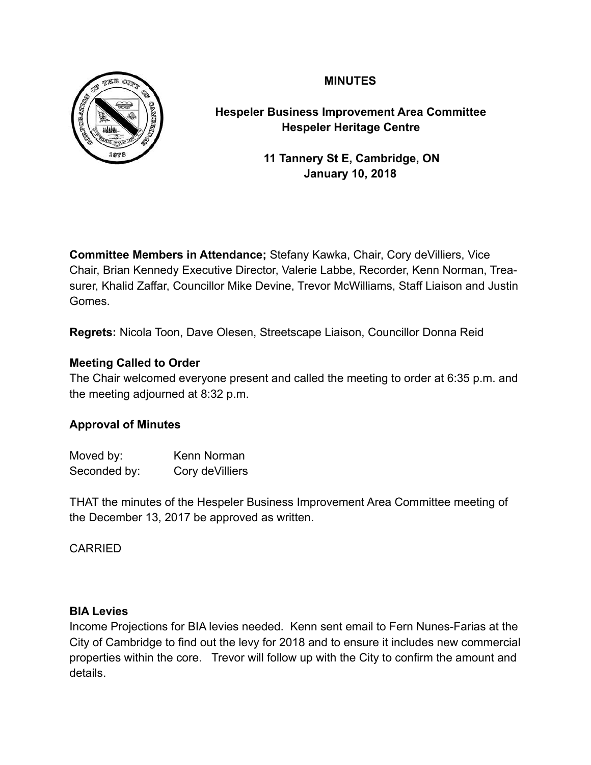# **MINUTES**



**Hespeler Business Improvement Area Committee Hespeler Heritage Centre**

> **11 Tannery St E, Cambridge, ON January 10, 2018**

**Committee Members in Attendance;** Stefany Kawka, Chair, Cory deVilliers, Vice Chair, Brian Kennedy Executive Director, Valerie Labbe, Recorder, Kenn Norman, Treasurer, Khalid Zaffar, Councillor Mike Devine, Trevor McWilliams, Staff Liaison and Justin Gomes.

**Regrets:** Nicola Toon, Dave Olesen, Streetscape Liaison, Councillor Donna Reid

## **Meeting Called to Order**

The Chair welcomed everyone present and called the meeting to order at 6:35 p.m. and the meeting adjourned at 8:32 p.m.

## **Approval of Minutes**

| Moved by:    | Kenn Norman      |
|--------------|------------------|
| Seconded by: | Cory de Villiers |

THAT the minutes of the Hespeler Business Improvement Area Committee meeting of the December 13, 2017 be approved as written.

## CARRIED

## **BIA Levies**

Income Projections for BIA levies needed. Kenn sent email to Fern Nunes-Farias at the City of Cambridge to find out the levy for 2018 and to ensure it includes new commercial properties within the core. Trevor will follow up with the City to confirm the amount and details.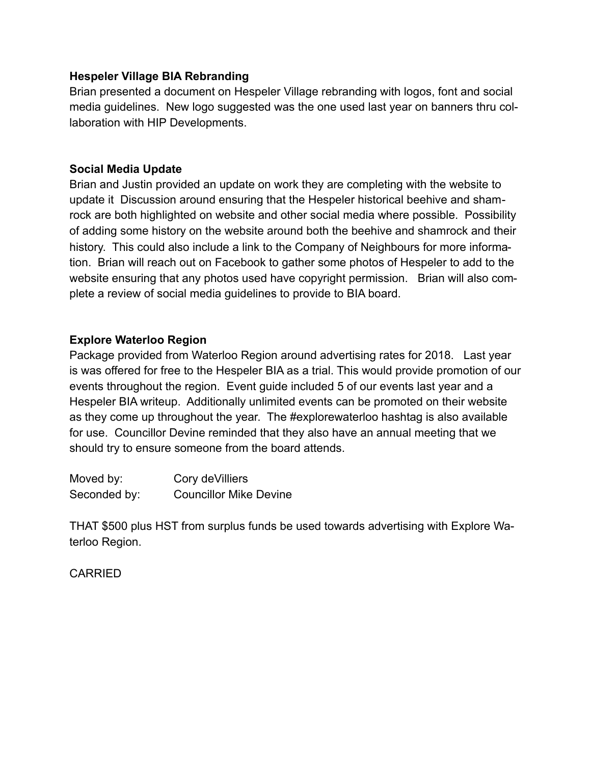### **Hespeler Village BIA Rebranding**

Brian presented a document on Hespeler Village rebranding with logos, font and social media guidelines. New logo suggested was the one used last year on banners thru collaboration with HIP Developments.

### **Social Media Update**

Brian and Justin provided an update on work they are completing with the website to update it Discussion around ensuring that the Hespeler historical beehive and shamrock are both highlighted on website and other social media where possible. Possibility of adding some history on the website around both the beehive and shamrock and their history. This could also include a link to the Company of Neighbours for more information. Brian will reach out on Facebook to gather some photos of Hespeler to add to the website ensuring that any photos used have copyright permission. Brian will also complete a review of social media guidelines to provide to BIA board.

#### **Explore Waterloo Region**

Package provided from Waterloo Region around advertising rates for 2018. Last year is was offered for free to the Hespeler BIA as a trial. This would provide promotion of our events throughout the region. Event guide included 5 of our events last year and a Hespeler BIA writeup. Additionally unlimited events can be promoted on their website as they come up throughout the year. The #explorewaterloo hashtag is also available for use. Councillor Devine reminded that they also have an annual meeting that we should try to ensure someone from the board attends.

| Moved by:    | Cory de Villiers              |
|--------------|-------------------------------|
| Seconded by: | <b>Councillor Mike Devine</b> |

THAT \$500 plus HST from surplus funds be used towards advertising with Explore Waterloo Region.

## CARRIED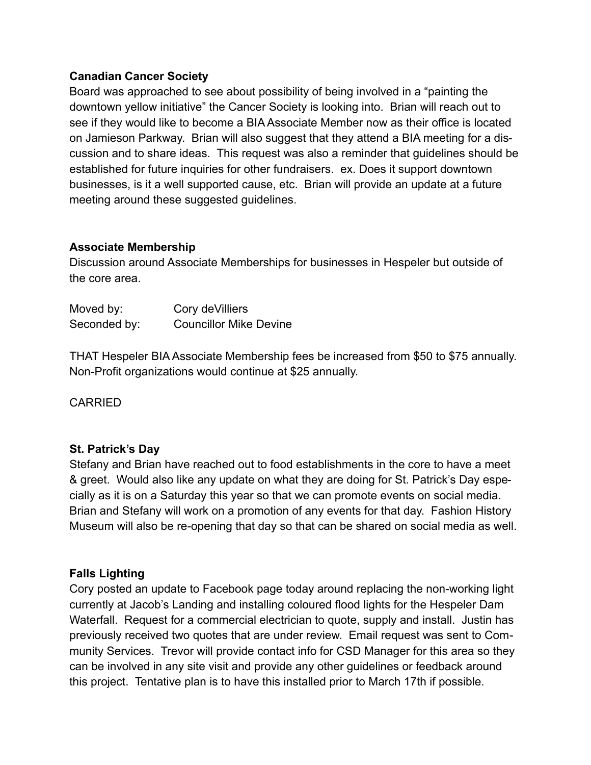### **Canadian Cancer Society**

Board was approached to see about possibility of being involved in a "painting the downtown yellow initiative" the Cancer Society is looking into. Brian will reach out to see if they would like to become a BIA Associate Member now as their office is located on Jamieson Parkway. Brian will also suggest that they attend a BIA meeting for a discussion and to share ideas. This request was also a reminder that guidelines should be established for future inquiries for other fundraisers. ex. Does it support downtown businesses, is it a well supported cause, etc. Brian will provide an update at a future meeting around these suggested guidelines.

### **Associate Membership**

Discussion around Associate Memberships for businesses in Hespeler but outside of the core area.

| Moved by:    | Cory de Villiers              |
|--------------|-------------------------------|
| Seconded by: | <b>Councillor Mike Devine</b> |

THAT Hespeler BIA Associate Membership fees be increased from \$50 to \$75 annually. Non-Profit organizations would continue at \$25 annually.

CARRIED

## **St. Patrick's Day**

Stefany and Brian have reached out to food establishments in the core to have a meet & greet. Would also like any update on what they are doing for St. Patrick's Day especially as it is on a Saturday this year so that we can promote events on social media. Brian and Stefany will work on a promotion of any events for that day. Fashion History Museum will also be re-opening that day so that can be shared on social media as well.

## **Falls Lighting**

Cory posted an update to Facebook page today around replacing the non-working light currently at Jacob's Landing and installing coloured flood lights for the Hespeler Dam Waterfall. Request for a commercial electrician to quote, supply and install. Justin has previously received two quotes that are under review. Email request was sent to Community Services. Trevor will provide contact info for CSD Manager for this area so they can be involved in any site visit and provide any other guidelines or feedback around this project. Tentative plan is to have this installed prior to March 17th if possible.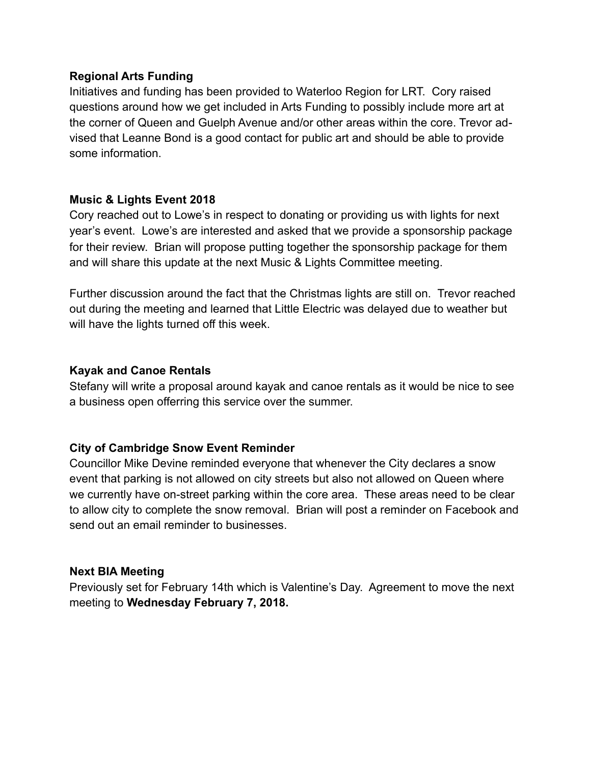#### **Regional Arts Funding**

Initiatives and funding has been provided to Waterloo Region for LRT. Cory raised questions around how we get included in Arts Funding to possibly include more art at the corner of Queen and Guelph Avenue and/or other areas within the core. Trevor advised that Leanne Bond is a good contact for public art and should be able to provide some information.

# **Music & Lights Event 2018**

Cory reached out to Lowe's in respect to donating or providing us with lights for next year's event. Lowe's are interested and asked that we provide a sponsorship package for their review. Brian will propose putting together the sponsorship package for them and will share this update at the next Music & Lights Committee meeting.

Further discussion around the fact that the Christmas lights are still on. Trevor reached out during the meeting and learned that Little Electric was delayed due to weather but will have the lights turned off this week.

## **Kayak and Canoe Rentals**

Stefany will write a proposal around kayak and canoe rentals as it would be nice to see a business open offerring this service over the summer.

## **City of Cambridge Snow Event Reminder**

Councillor Mike Devine reminded everyone that whenever the City declares a snow event that parking is not allowed on city streets but also not allowed on Queen where we currently have on-street parking within the core area. These areas need to be clear to allow city to complete the snow removal. Brian will post a reminder on Facebook and send out an email reminder to businesses.

#### **Next BIA Meeting**

Previously set for February 14th which is Valentine's Day. Agreement to move the next meeting to **Wednesday February 7, 2018.**